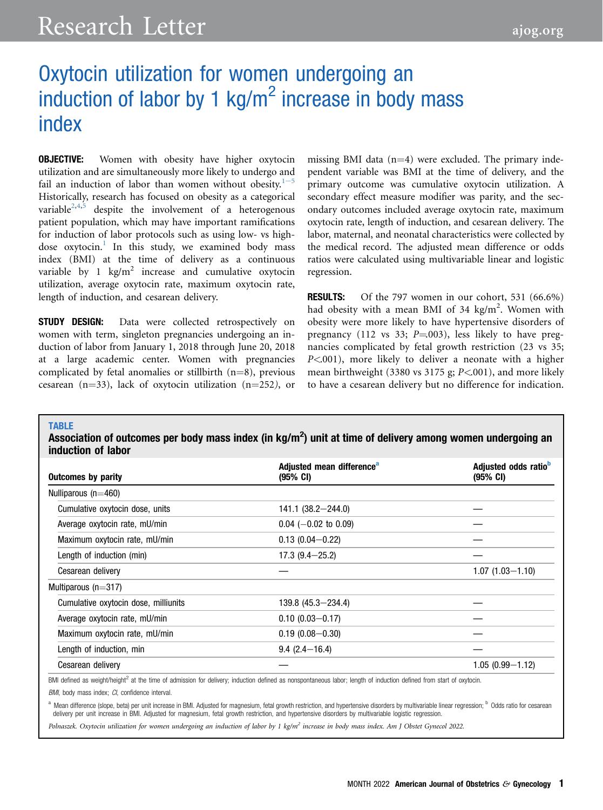## Research Letter [ajog.org](http://www.AJOG.org)

### Oxytocin utilization for women undergoing an induction of labor by 1 kg/ $m^2$  increase in body mass index

**OBJECTIVE:** Women with obesity have higher oxytocin utilization and are simultaneously more likely to undergo and fail an induction of labor than wom[e](#page-1-0)n without obesity.<sup>1-5</sup> Historically, research has focused on obesity as a categorical variable<sup>[2,](#page-1-1)[4,](#page-1-2)[5](#page-1-3)</sup> despite the involvement of a heterogenous patient population, which may have important ramifications for induction of labor protocols such as using low- vs highdose  $oxytocin<sup>1</sup>$  $oxytocin<sup>1</sup>$  $oxytocin<sup>1</sup>$ . In this study, we examined body mass index (BMI) at the time of delivery as a continuous variable by 1  $\text{kg/m}^2$  increase and cumulative oxytocin utilization, average oxytocin rate, maximum oxytocin rate, length of induction, and cesarean delivery.

**STUDY DESIGN:** Data were collected retrospectively on women with term, singleton pregnancies undergoing an induction of labor from January 1, 2018 through June 20, 2018 at a large academic center. Women with pregnancies complicated by fetal anomalies or stillbirth  $(n=8)$ , previous cesarean (n=33), lack of oxytocin utilization (n=252), or missing BMI data  $(n=4)$  were excluded. The primary independent variable was BMI at the time of delivery, and the primary outcome was cumulative oxytocin utilization. A secondary effect measure modifier was parity, and the secondary outcomes included average oxytocin rate, maximum oxytocin rate, length of induction, and cesarean delivery. The labor, maternal, and neonatal characteristics were collected by the medical record. The adjusted mean difference or odds ratios were calculated using multivariable linear and logistic regression.

**RESULTS:** Of the 797 women in our cohort, 531 (66.6%) had obesity with a mean BMI of 34 kg/m<sup>2</sup>. Women with obesity were more likely to have hypertensive disorders of pregnancy (112 vs 33;  $P=003$ ), less likely to have pregnancies complicated by fetal growth restriction (23 vs 35;  $P \leq 001$ ), more likely to deliver a neonate with a higher mean birthweight (3380 vs 3175 g;  $P \le 0.001$ ), and more likely to have a cesarean delivery but no difference for indication.

<span id="page-0-1"></span>TABLE

Association of outcomes per body mass index (in kg/m<sup>2</sup>) unit at time of delivery among women undergoing an induction of labor

| <b>Outcomes by parity</b>            | Adjusted mean difference <sup>a</sup><br>$(95% \text{ CI})$ | Adjusted odds ratio <sup>b</sup><br>$(95% \text{ CI})$ |
|--------------------------------------|-------------------------------------------------------------|--------------------------------------------------------|
| Nulliparous $(n=460)$                |                                                             |                                                        |
| Cumulative oxytocin dose, units      | 141.1 (38.2-244.0)                                          |                                                        |
| Average oxytocin rate, mU/min        | $0.04$ (-0.02 to 0.09)                                      |                                                        |
| Maximum oxytocin rate, mU/min        | $0.13$ (0.04 - 0.22)                                        |                                                        |
| Length of induction (min)            | $17.3(9.4 - 25.2)$                                          |                                                        |
| Cesarean delivery                    |                                                             | $1.07(1.03 - 1.10)$                                    |
| Multiparous (n=317)                  |                                                             |                                                        |
| Cumulative oxytocin dose, milliunits | $139.8(45.3 - 234.4)$                                       |                                                        |
| Average oxytocin rate, mU/min        | $0.10(0.03 - 0.17)$                                         |                                                        |
| Maximum oxytocin rate, mU/min        | $0.19(0.08 - 0.30)$                                         |                                                        |
| Length of induction, min             | $9.4(2.4 - 16.4)$                                           |                                                        |
| Cesarean delivery                    |                                                             | $1.05(0.99 - 1.12)$                                    |

BMI defined as weight/height<sup>2</sup> at the time of admission for delivery; induction defined as nonspontaneous labor; length of induction defined from start of oxytocin.

BMI, body mass index; CI, confidence interval.

<span id="page-0-0"></span><sup>a</sup> Mean difference (slope, beta) per unit increase in BMI. Adjusted for magnesium, fetal growth restriction, and hypertensive disorders by multivariable linear regression; <sup>b</sup> Odds ratio for cesarean delivery per unit increase in BMI. Adjusted for magnesium, fetal growth restriction, and hypertensive disorders by multivariable logistic regression.

Polnaszek. Oxytocin utilization for women undergoing an induction of labor by 1 kg/m<sup>2</sup> increase in body mass index. Am J Obstet Gynecol 2022.